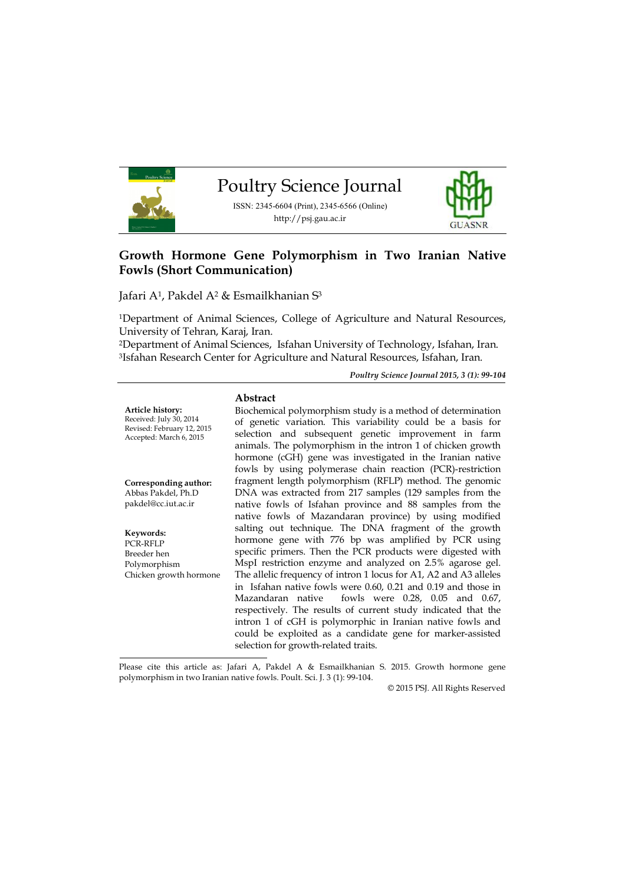

# **Growth Hormone Gene Polymorphism in Two Iranian Native Fowls (Short Communication)**

Jafari A1, Pakdel A<sup>2</sup> & Esmailkhanian S<sup>3</sup>

<sup>1</sup>Department of Animal Sciences, College of Agriculture and Natural Resources, University of Tehran, Karaj, Iran.

<sup>2</sup>Department of Animal Sciences, Isfahan University of Technology, Isfahan, Iran. <sup>3</sup>Isfahan Research Center for Agriculture and Natural Resources, Isfahan, Iran.

*Poultry Science Journal 2015, 3 (1): 99-104*

#### **Abstract**

**Article history:** Received: July 30, 2014 Revised: February 12, 2015 Accepted: March 6, 2015

**Corresponding author:** Abbas Pakdel, Ph.D pakdel@cc.iut.ac.ir

**Keywords:** PCR-RFLP Breeder hen Polymorphism Chicken growth hormone

Biochemical polymorphism study is a method of determination of genetic variation. This variability could be a basis for selection and subsequent genetic improvement in farm animals. The polymorphism in the intron 1 of chicken growth hormone (cGH) gene was investigated in the Iranian native fowls by using polymerase chain reaction (PCR)-restriction fragment length polymorphism (RFLP) method. The genomic DNA was extracted from 217 samples (129 samples from the native fowls of Isfahan province and 88 samples from the native fowls of Mazandaran province) by using modified salting out technique. The DNA fragment of the growth hormone gene with 776 bp was amplified by PCR using specific primers. Then the PCR products were digested with MspI restriction enzyme and analyzed on 2.5% agarose gel. The allelic frequency of intron 1 locus for A1, A2 and A3 alleles in Isfahan native fowls were 0.60, 0.21 and 0.19 and those in Mazandaran native fowls were 0.28, 0.05 and 0.67, respectively. The results of current study indicated that the intron 1 of cGH is polymorphic in Iranian native fowls and could be exploited as a candidate gene for marker-assisted selection for growth-related traits.

Please cite this article as: Jafari A, Pakdel A & Esmailkhanian S. 2015. Growth hormone gene polymorphism in two Iranian native fowls. Poult. Sci. J. 3 (1): 99-104.

© 2015 PSJ. All Rights Reserved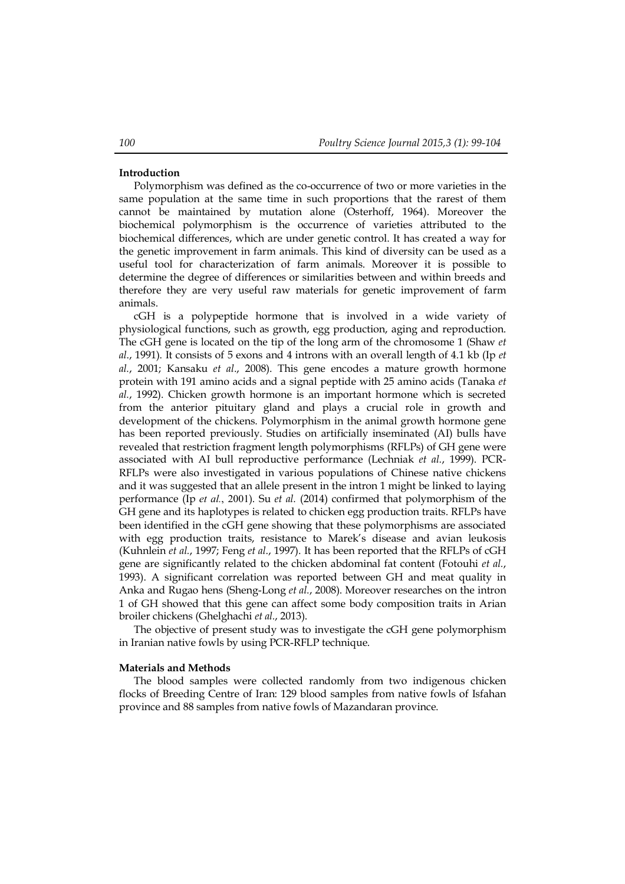### **Introduction**

Polymorphism was defined as the co-occurrence of two or more varieties in the same population at the same time in such proportions that the rarest of them cannot be maintained by mutation alone (Osterhoff, 1964). Moreover the biochemical polymorphism is the occurrence of varieties attributed to the biochemical differences, which are under genetic control. It has created a way for the genetic improvement in farm animals. This kind of diversity can be used as a useful tool for characterization of farm animals. Moreover it is possible to determine the degree of differences or similarities between and within breeds and therefore they are very useful raw materials for genetic improvement of farm animals.

cGH is a polypeptide hormone that is involved in a wide variety of physiological functions, such as growth, egg production, aging and reproduction. The cGH gene is located on the tip of the long arm of the chromosome 1 (Shaw *et al*., 1991). It consists of 5 exons and 4 introns with an overall length of 4.1 kb (Ip *et al.*, 2001; Kansaku *et al*., 2008). This gene encodes a mature growth hormone protein with 191 amino acids and a signal peptide with 25 amino acids (Tanaka *et al.*, 1992). Chicken growth hormone is an important hormone which is secreted from the anterior pituitary gland and plays a crucial role in growth and development of the chickens. Polymorphism in the animal growth hormone gene has been reported previously. Studies on artificially inseminated (AI) bulls have revealed that restriction fragment length polymorphisms (RFLPs) of GH gene were associated with AI bull reproductive performance (Lechniak *et al.*, 1999). PCR-RFLPs were also investigated in various populations of Chinese native chickens and it was suggested that an allele present in the intron 1 might be linked to laying performance (Ip *et al.*, 2001). Su *et al.* (2014) confirmed that polymorphism of the GH gene and its haplotypes is related to chicken egg production traits. RFLPs have been identified in the cGH gene showing that these polymorphisms are associated with egg production traits, resistance to Marek's disease and avian leukosis (Kuhnlein *et al.*, 1997; Feng *et al*., 1997). It has been reported that the RFLPs of cGH gene are significantly related to the chicken abdominal fat content (Fotouhi *et al.*, 1993). A significant correlation was reported between GH and meat quality in Anka and Rugao hens (Sheng-Long *et al.*, 2008). Moreover researches on the intron 1 of GH showed that this gene can affect some body composition traits in Arian broiler chickens (Ghelghachi *et al.*, 2013).

The objective of present study was to investigate the cGH gene polymorphism in Iranian native fowls by using PCR-RFLP technique.

#### **Materials and Methods**

The blood samples were collected randomly from two indigenous chicken flocks of Breeding Centre of Iran: 129 blood samples from native fowls of Isfahan province and 88 samples from native fowls of Mazandaran province.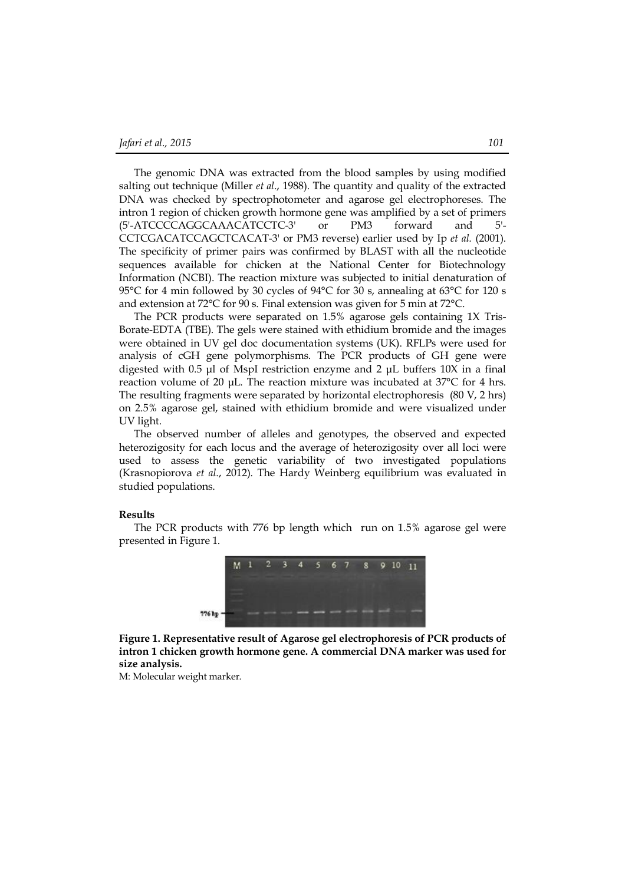The genomic DNA was extracted from the blood samples by using modified salting out technique (Miller *et al*., 1988). The quantity and quality of the extracted DNA was checked by spectrophotometer and agarose gel electrophoreses. The intron 1 region of chicken growth hormone gene was amplified by a set of primers (5'-ATCCCCAGGCAAACATCCTC-3' or PM3 forward and 5'- CCTCGACATCCAGCTCACAT-3' or PM3 reverse) earlier used by Ip *et al.* (2001). The specificity of primer pairs was confirmed by BLAST with all the nucleotide sequences available for chicken at the National Center for Biotechnology Information (NCBI). The reaction mixture was subjected to initial denaturation of 95°C for 4 min followed by 30 cycles of 94°C for 30 s, annealing at 63°C for 120 s and extension at 72°C for 90 s. Final extension was given for 5 min at 72°C.

The PCR products were separated on 1.5% agarose gels containing 1X Tris-Borate-EDTA (TBE). The gels were stained with ethidium bromide and the images were obtained in UV gel doc documentation systems (UK). RFLPs were used for analysis of cGH gene polymorphisms. The PCR products of GH gene were digested with 0.5 μl of MspI restriction enzyme and 2 μL buffers 10X in a final reaction volume of 20 μL. The reaction mixture was incubated at 37°C for 4 hrs. The resulting fragments were separated by horizontal electrophoresis (80 V, 2 hrs) on 2.5% agarose gel, stained with ethidium bromide and were visualized under UV light.

The observed number of alleles and genotypes, the observed and expected heterozigosity for each locus and the average of heterozigosity over all loci were used to assess the genetic variability of two investigated populations (Krasnopiorova *et al*., 2012). The Hardy Weinberg equilibrium was evaluated in studied populations.

#### **Results**

The PCR products with 776 bp length which run on 1.5% agarose gel were presented in Figure 1.



**Figure 1. Representative result of Agarose gel electrophoresis of PCR products of intron 1 chicken growth hormone gene. A commercial DNA marker was used for size analysis.**

M: Molecular weight marker.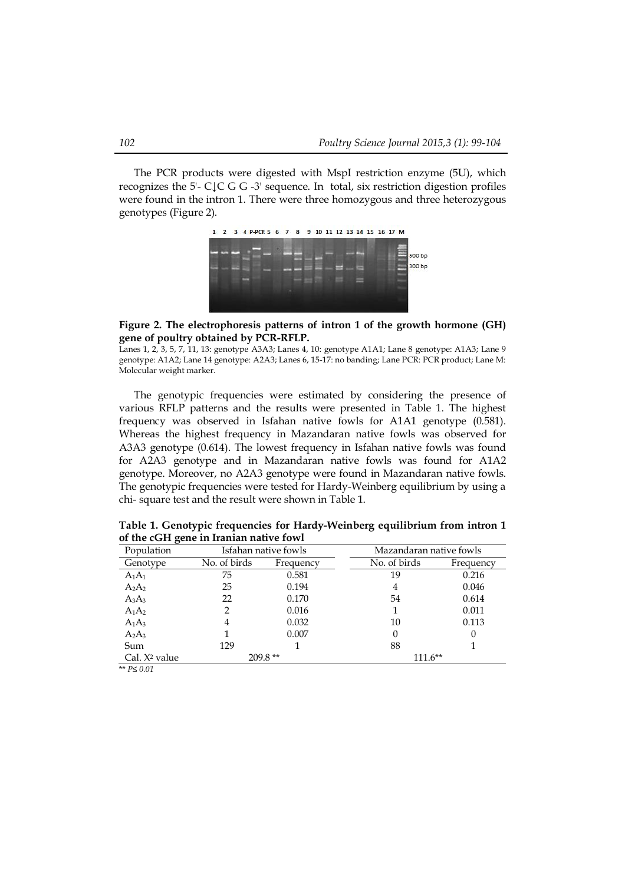The PCR products were digested with MspI restriction enzyme (5U), which recognizes the 5'- C↓C G G -3' sequence. In total, six restriction digestion profiles were found in the intron 1. There were three homozygous and three heterozygous genotypes (Figure 2).



## **Figure 2. The electrophoresis patterns of intron 1 of the growth hormone (GH) gene of poultry obtained by PCR-RFLP.**

Lanes 1, 2, 3, 5, 7, 11, 13: genotype A3A3; Lanes 4, 10: genotype A1A1; Lane 8 genotype: A1A3; Lane 9 genotype: A1A2; Lane 14 genotype: A2A3; Lanes 6, 15-17: no banding; Lane PCR: PCR product; Lane M: Molecular weight marker.

The genotypic frequencies were estimated by considering the presence of various RFLP patterns and the results were presented in Table 1. The highest frequency was observed in Isfahan native fowls for A1A1 genotype (0.581). Whereas the highest frequency in Mazandaran native fowls was observed for A3A3 genotype (0.614). The lowest frequency in Isfahan native fowls was found for A2A3 genotype and in Mazandaran native fowls was found for A1A2 genotype. Moreover, no A2A3 genotype were found in Mazandaran native fowls. The genotypic frequencies were tested for Hardy-Weinberg equilibrium by using a chi- square test and the result were shown in Table 1.

| Population                |              | Isfahan native fowls | Mazandaran native fowls |           |
|---------------------------|--------------|----------------------|-------------------------|-----------|
| Genotype                  | No. of birds | Frequency            | No. of birds            | Frequency |
| $A_1A_1$                  | 75           | 0.581                | 19                      | 0.216     |
| $A_2A_2$                  | 25           | 0.194                | 4                       | 0.046     |
| $A_3A_3$                  | 22           | 0.170                | 54                      | 0.614     |
| $A_1A_2$                  | 2            | 0.016                |                         | 0.011     |
| $A_1A_3$                  | 4            | 0.032                | 10                      | 0.113     |
| $A_2A_3$                  |              | 0.007                | 0                       | 0         |
| Sum                       | 129          |                      | 88                      |           |
| Cal. X <sup>2</sup> value | $209.8**$    |                      | $111.6**$               |           |

**Table 1. Genotypic frequencies for Hardy-Weinberg equilibrium from intron 1 of the cGH gene in Iranian native fowl**

\*\* *P≤ 0.01*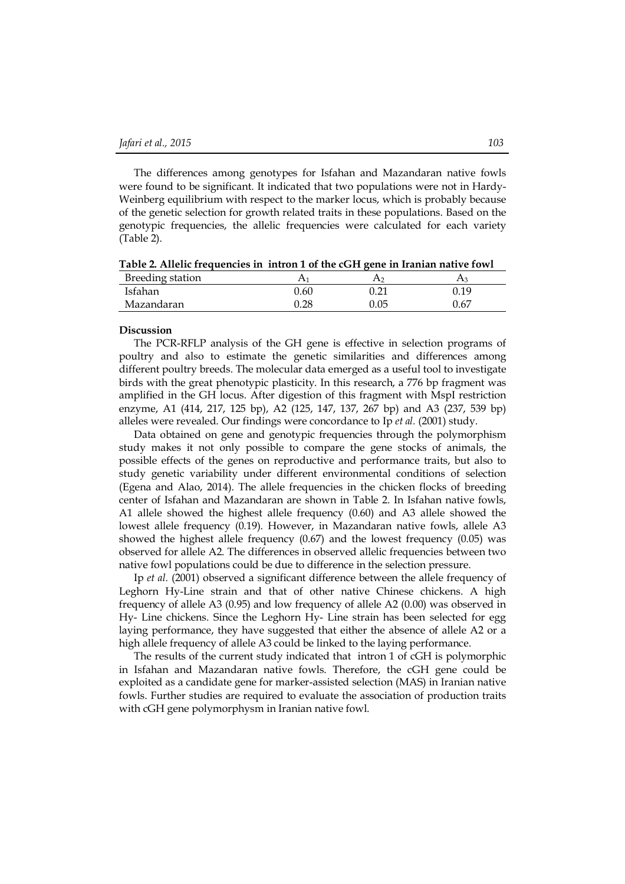The differences among genotypes for Isfahan and Mazandaran native fowls were found to be significant. It indicated that two populations were not in Hardy-Weinberg equilibrium with respect to the marker locus, which is probably because of the genetic selection for growth related traits in these populations. Based on the genotypic frequencies, the allelic frequencies were calculated for each variety (Table 2).

**Table 2. Allelic frequencies in intron 1 of the cGH gene in Iranian native fowl**

| Breeding station |          |          |      |
|------------------|----------|----------|------|
| Isfahan          | 0.60     | $0.21\,$ | 0.19 |
| Mazandaran       | $0.28\,$ | 0.05     | 0.67 |

#### **Discussion**

The PCR-RFLP analysis of the GH gene is effective in selection programs of poultry and also to estimate the genetic similarities and differences among different poultry breeds. The molecular data emerged as a useful tool to investigate birds with the great phenotypic plasticity. In this research, a 776 bp fragment was amplified in the GH locus. After digestion of this fragment with MspI restriction enzyme, A1 (414, 217, 125 bp), A2 (125, 147, 137, 267 bp) and A3 (237, 539 bp) alleles were revealed. Our findings were concordance to Ip *et al.* (2001) study.

Data obtained on gene and genotypic frequencies through the polymorphism study makes it not only possible to compare the gene stocks of animals, the possible effects of the genes on reproductive and performance traits, but also to study genetic variability under different environmental conditions of selection (Egena and Alao, 2014). The allele frequencies in the chicken flocks of breeding center of Isfahan and Mazandaran are shown in Table 2. In Isfahan native fowls, A1 allele showed the highest allele frequency (0.60) and A3 allele showed the lowest allele frequency (0.19). However, in Mazandaran native fowls, allele A3 showed the highest allele frequency (0.67) and the lowest frequency (0.05) was observed for allele A2. The differences in observed allelic frequencies between two native fowl populations could be due to difference in the selection pressure.

Ip *et al.* (2001) observed a significant difference between the allele frequency of Leghorn Hy-Line strain and that of other native Chinese chickens. A high frequency of allele A3 (0.95) and low frequency of allele A2 (0.00) was observed in Hy- Line chickens. Since the Leghorn Hy- Line strain has been selected for egg laying performance, they have suggested that either the absence of allele A2 or a high allele frequency of allele A3 could be linked to the laying performance.

The results of the current study indicated that intron 1 of cGH is polymorphic in Isfahan and Mazandaran native fowls. Therefore, the cGH gene could be exploited as a candidate gene for marker-assisted selection (MAS) in Iranian native fowls. Further studies are required to evaluate the association of production traits with cGH gene polymorphysm in Iranian native fowl.